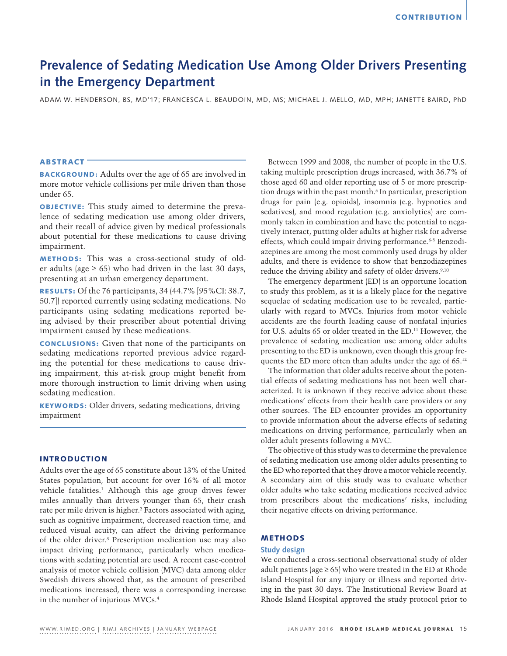# **Prevalence of Sedating Medication Use Among Older Drivers Presenting in the Emergency Department**

ADAM W. HENDERSON, BS, MD'17; FRANCESCA L. BEAUDOIN, MD, MS; MICHAEL J. MELLO, MD, MPH; JANETTE BAIRD, PhD

# ABSTRACT

BACKGROUND: Adults over the age of 65 are involved in more motor vehicle collisions per mile driven than those under 65.

OBJECTIVE: This study aimed to determine the prevalence of sedating medication use among older drivers, and their recall of advice given by medical professionals about potential for these medications to cause driving impairment.

METHODS: This was a cross-sectional study of older adults (age  $\geq 65$ ) who had driven in the last 30 days, presenting at an urban emergency department.

RESULTS: Of the 76 participants, 34 (44.7% [95%CI: 38.7, 50.7]) reported currently using sedating medications. No participants using sedating medications reported being advised by their prescriber about potential driving impairment caused by these medications.

CONCLUSIONS: Given that none of the participants on sedating medications reported previous advice regarding the potential for these medications to cause driving impairment, this at-risk group might benefit from more thorough instruction to limit driving when using sedating medication.

KEYWORDS: Older drivers, sedating medications, driving impairment

# INTRODUCTION

Adults over the age of 65 constitute about 13% of the United States population, but account for over 16% of all motor vehicle fatalities.<sup>1</sup> Although this age group drives fewer miles annually than drivers younger than 65, their crash rate per mile driven is higher.<sup>2</sup> Factors associated with aging, such as cognitive impairment, decreased reaction time, and reduced visual acuity, can affect the driving performance of the older driver.3 Prescription medication use may also impact driving performance, particularly when medications with sedating potential are used. A recent case-control analysis of motor vehicle collision (MVC) data among older Swedish drivers showed that, as the amount of prescribed medications increased, there was a corresponding increase in the number of injurious MVCs.4

Between 1999 and 2008, the number of people in the U.S. taking multiple prescription drugs increased, with 36.7% of those aged 60 and older reporting use of 5 or more prescription drugs within the past month.<sup>5</sup> In particular, prescription drugs for pain (e.g. opioids), insomnia (e.g. hypnotics and sedatives), and mood regulation (e.g. anxiolytics) are commonly taken in combination and have the potential to negatively interact, putting older adults at higher risk for adverse effects, which could impair driving performance.<sup>6-8</sup> Benzodiazepines are among the most commonly used drugs by older adults, and there is evidence to show that benzodiazepines reduce the driving ability and safety of older drivers.<sup>9,10</sup>

The emergency department (ED) is an opportune location to study this problem, as it is a likely place for the negative sequelae of sedating medication use to be revealed, particularly with regard to MVCs. Injuries from motor vehicle accidents are the fourth leading cause of nonfatal injuries for U.S. adults 65 or older treated in the ED.<sup>11</sup> However, the prevalence of sedating medication use among older adults presenting to the ED is unknown, even though this group frequents the ED more often than adults under the age of 65.12

The information that older adults receive about the potential effects of sedating medications has not been well characterized. It is unknown if they receive advice about these medications' effects from their health care providers or any other sources. The ED encounter provides an opportunity to provide information about the adverse effects of sedating medications on driving performance, particularly when an older adult presents following a MVC.

The objective of this study was to determine the prevalence of sedating medication use among older adults presenting to the ED who reported that they drove a motor vehicle recently. A secondary aim of this study was to evaluate whether older adults who take sedating medications received advice from prescribers about the medications' risks, including their negative effects on driving performance.

# METHODS

# **Study design**

We conducted a cross-sectional observational study of older adult patients (age  $\geq$  65) who were treated in the ED at Rhode Island Hospital for any injury or illness and reported driving in the past 30 days. The Institutional Review Board at Rhode Island Hospital approved the study protocol prior to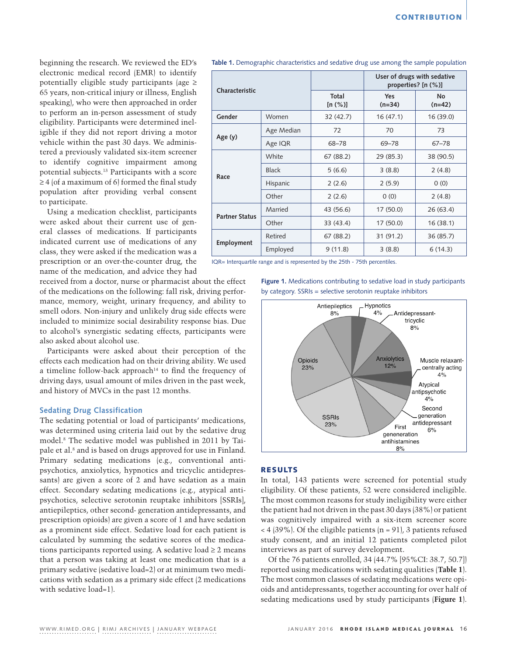beginning the research. We reviewed the ED's electronic medical record (EMR) to identify potentially eligible study participants (age ≥ 65 years, non-critical injury or illness, English speaking), who were then approached in order to perform an in-person assessment of study eligibility. Participants were determined ineligible if they did not report driving a motor vehicle within the past 30 days. We administered a previously validated six-item screener to identify cognitive impairment among potential subjects.13 Participants with a score ≥ 4 (of a maximum of 6) formed the final study population after providing verbal consent to participate.

Using a medication checklist, participants were asked about their current use of general classes of medications. If participants indicated current use of medications of any class, they were asked if the medication was a prescription or an over-the-counter drug, the name of the medication, and advice they had

received from a doctor, nurse or pharmacist about the effect of the medications on the following: fall risk, driving performance, memory, weight, urinary frequency, and ability to smell odors. Non-injury and unlikely drug side effects were included to minimize social desirability response bias. Due to alcohol's synergistic sedating effects, participants were also asked about alcohol use.

Participants were asked about their perception of the effects each medication had on their driving ability. We used a timeline follow-back approach<sup>14</sup> to find the frequency of driving days, usual amount of miles driven in the past week, and history of MVCs in the past 12 months.

#### **Sedating Drug Classification**

The sedating potential or load of participants' medications, was determined using criteria laid out by the sedative drug model.8 The sedative model was published in 2011 by Taipale et al.<sup>8</sup> and is based on drugs approved for use in Finland. Primary sedating medications (e.g., conventional antipsychotics, anxiolytics, hypnotics and tricyclic antidepressants) are given a score of 2 and have sedation as a main effect. Secondary sedating medications (e.g., atypical antipsychotics, selective serotonin reuptake inhibitors [SSRIs], antiepileptics, other second- generation antidepressants, and prescription opioids) are given a score of 1 and have sedation as a prominent side effect. Sedative load for each patient is calculated by summing the sedative scores of the medications participants reported using. A sedative load  $\geq 2$  means that a person was taking at least one medication that is a primary sedative (sedative load=2) or at minimum two medications with sedation as a primary side effect (2 medications with sedative load=1).

| Characteristic        |              |                      | User of drugs with sedative<br>properties? $[n (%)]$ |                       |
|-----------------------|--------------|----------------------|------------------------------------------------------|-----------------------|
|                       |              | Total<br>[n $(\%)$ ] | <b>Yes</b><br>$(n=34)$                               | <b>No</b><br>$(n=42)$ |
| Gender                | Women        | 32 (42.7)            | 16(47.1)                                             | 16 (39.0)             |
| Age (y)               | Age Median   | 72                   | 70                                                   | 73                    |
|                       | Age IQR      | 68-78                | $69 - 78$                                            | $67 - 78$             |
| Race                  | White        | 67 (88.2)            | 29 (85.3)                                            | 38 (90.5)             |
|                       | <b>Black</b> | 5(6.6)               | 3(8.8)                                               | 2(4.8)                |
|                       | Hispanic     | 2(2.6)               | 2(5.9)                                               | 0(0)                  |
|                       | Other        | 2(2.6)               | 0(0)                                                 | 2(4.8)                |
| <b>Partner Status</b> | Married      | 43 (56.6)            | 17(50.0)                                             | 26(63.4)              |
|                       | Other        | 33 (43.4)            | 17(50.0)                                             | 16(38.1)              |
| Employment            | Retired      | 67 (88.2)            | 31 (91.2)                                            | 36 (85.7)             |
|                       | Employed     | 9(11.8)              | 3(8.8)                                               | 6(14.3)               |

**Table 1.** Demographic characteristics and sedative drug use among the sample population

IQR= Interquartile range and is represented by the 25th - 75th percentiles.

**Figure 1.** Medications contributing to sedative load in study participants by category. SSRIs = selective serotonin reuptake inhibitors



# RESULTS

In total, 143 patients were screened for potential study eligibility. Of these patients, 52 were considered ineligible. The most common reasons for study ineligibility were either the patient had not driven in the past 30 days (38%) or patient was cognitively impaired with a six-item screener score  $<$  4 (39%). Of the eligible patients (n = 91), 3 patients refused study consent, and an initial 12 patients completed pilot interviews as part of survey development.

Of the 76 patients enrolled, 34 (44.7% [95%CI: 38.7, 50.7]) reported using medications with sedating qualities (**Table 1**). The most common classes of sedating medications were opioids and antidepressants, together accounting for over half of sedating medications used by study participants (**Figure 1**).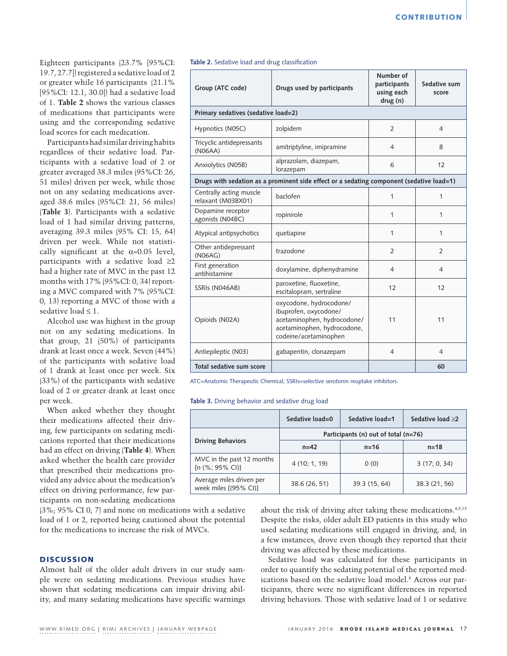Eighteen participants (23.7% [95%CI: 19.7, 27.7]) registered a sedative load of 2 or greater while 16 participants (21.1% [95%CI: 12.1, 30.0]) had a sedative load of 1. **Table 2** shows the various classes of medications that participants were using and the corresponding sedative load scores for each medication.

Participants had similar driving habits regardless of their ticipants with a se greater averaged 38. 51 miles) driven pe not on any sedating aged 38.6 miles (95 (Table 3). Participa load of 1 had simil averaging 39.3 miles driven per week. While not statistically significant at the  $\alpha$ =0.05 level, participants with a sedative load  $\geq 2$ had a higher rate of MVC in the past 12 months with 17% (95%CI: 0, 34) reporting a MVC compared with 7% (95%CI: 0, 13) reporting a MVC of those with a sedative load  $\leq 1$ .

Alcohol use was highest in the group not on any sedating medications. In that group, 21 (50%) of participants drank at least once a week. Seven (44%) of the participants with sedative load of 1 drank at least once per week. Six (33%) of the participants with sedative load of 2 or greater drank at least once per week.

When asked whether they thought their medications affected their driving, few participants on sedating medications reported that their medications had an effect on driving (**Table 4**). When asked whether the health care provider that prescribed their medications provided any advice about the medication's effect on driving performance, few participants on non-sedating medications

(3%; 95% CI 0, 7) and none on medications with a sedative load of 1 or 2, reported being cautioned about the potential for the medications to increase the risk of MVCs.

# **DISCUSSION**

Almost half of the older adult drivers in our study sample were on sedating medications. Previous studies have shown that sedating medications can impair driving ability, and many sedating medications have specific warnings

| sedative load. Par-                          | (N06AA)                                       |  |
|----------------------------------------------|-----------------------------------------------|--|
| edative load of 2 or<br>.3 miles (95%CI: 26, | Anxiolytics (N05B)                            |  |
| r week, while those:                         | Drugs with sedation as a pro                  |  |
| g medications aver-<br>5%CI: 21, 56 miles)   | Centrally acting muscle<br>relaxant (M03BX01) |  |
| nts with a sedative<br>lar driving patterns, | Dopamine receptor<br>agonists (N04BC)         |  |
| es (95% CI: 15, 64)                          | Atynical antincychotics                       |  |

#### **Table 2.** Sedative load and drug classification

| Group (ATC code)                              | Drugs used by participants                                                                                                              | Number of<br>participants<br>using each<br>drug (n) | Sedative sum<br>score |
|-----------------------------------------------|-----------------------------------------------------------------------------------------------------------------------------------------|-----------------------------------------------------|-----------------------|
| Primary sedatives (sedative load=2)           |                                                                                                                                         |                                                     |                       |
| Hypnotics (N05C)                              | zolpidem                                                                                                                                | $\overline{2}$                                      | $\overline{4}$        |
| Tricyclic antidepressants<br>(N06AA)          | amitriptyline, imipramine                                                                                                               | 4                                                   | 8                     |
| Anxiolytics (N05B)                            | alprazolam, diazepam,<br>lorazepam                                                                                                      | 6                                                   | 12                    |
|                                               | Drugs with sedation as a prominent side effect or a sedating component (sedative load=1)                                                |                                                     |                       |
| Centrally acting muscle<br>relaxant (M03BX01) | baclofen                                                                                                                                | 1                                                   | 1                     |
| Dopamine receptor<br>agonists (N04BC)         | ropinirole                                                                                                                              | 1                                                   | 1                     |
| Atypical antipsychotics                       | quetiapine                                                                                                                              | 1                                                   | 1                     |
| Other antidepressant<br>(N06AG)               | trazodone                                                                                                                               | $\overline{2}$                                      | 2                     |
| First generation<br>antihistamine             | doxylamine, diphenydramine                                                                                                              | $\overline{4}$                                      | $\overline{4}$        |
| SSRIs (N046AB)                                | paroxetine, fluoxetine,<br>escitalopram, sertraline                                                                                     | 12                                                  | 12                    |
| Opioids (N02A)                                | oxycodone, hydrocodone/<br>ibuprofen, oxycodone/<br>acetaminophen, hydrocodone/<br>acetaminophen, hydrocodone,<br>codeine/acetaminophen | 11                                                  | 11                    |
| Antiepileptic (N03)                           | gabapentin, clonazepam                                                                                                                  | $\overline{4}$                                      | $\overline{4}$        |
| Total sedative sum score                      |                                                                                                                                         |                                                     | 60                    |

ATC=Anatomic Therapeutic Chemical; SSRIs=selective serotonin reuptake inhibitors.

**Table 3.** Driving behavior and sedative drug load

|                                                   | Sedative load=0                      | Sedative load=1 | Sedative load ≥2 |  |
|---------------------------------------------------|--------------------------------------|-----------------|------------------|--|
|                                                   | Participants (n) out of total (n=76) |                 |                  |  |
| <b>Driving Behaviors</b>                          | $n=42$                               | $n = 16$        | $n = 18$         |  |
| MVC in the past 12 months<br>[n (%; 95% CI)]      | 4 (10; 1, 19)                        | 0(0)            | 3(17; 0, 34)     |  |
| Average miles driven per<br>week miles [(95% CI)] | 38.6 (26, 51)                        | 39.3 (15, 64)   | 38.3 (21, 56)    |  |

about the risk of driving after taking these medications.4,9,15 Despite the risks, older adult ED patients in this study who used sedating medications still engaged in driving, and, in a few instances, drove even though they reported that their driving was affected by these medications.

Sedative load was calculated for these participants in order to quantify the sedating potential of the reported medications based on the sedative load model.8 Across our participants, there were no significant differences in reported driving behaviors. Those with sedative load of 1 or sedative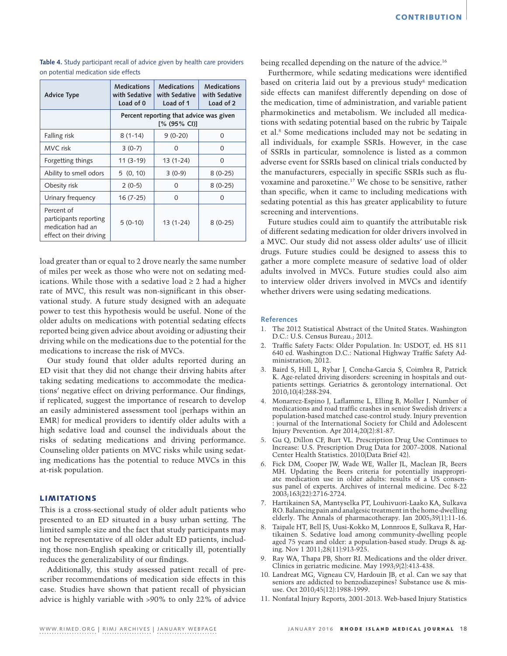| <b>Advice Type</b>                                                                   | <b>Medications</b><br>with Sedative<br>Load of 0        | <b>Medications</b><br>with Sedative<br>Load of 1 | <b>Medications</b><br>with Sedative<br>Load of 2 |
|--------------------------------------------------------------------------------------|---------------------------------------------------------|--------------------------------------------------|--------------------------------------------------|
|                                                                                      | Percent reporting that advice was given<br>[% (95% CI)] |                                                  |                                                  |
| Falling risk                                                                         | $8(1-14)$                                               | $9(0-20)$                                        | 0                                                |
| MVC risk                                                                             | $3(0-7)$                                                | $\Omega$                                         | 0                                                |
| Forgetting things                                                                    | $11(3-19)$                                              | 13 (1-24)                                        | $\Omega$                                         |
| Ability to smell odors                                                               | 5(0, 10)                                                | $3(0-9)$                                         | $8(0-25)$                                        |
| Obesity risk                                                                         | $2(0-5)$                                                | $\Omega$                                         | $8(0-25)$                                        |
| Urinary frequency                                                                    | $16(7-25)$                                              | $\Omega$                                         | $\Omega$                                         |
| Percent of<br>participants reporting<br>medication had an<br>effect on their driving | $5(0-10)$                                               | 13 (1-24)                                        | $8(0-25)$                                        |

**Table 4.** Study participant recall of advice given by health care providers on potential medication side effects

load greater than or equal to 2 drove nearly the same number of miles per week as those who were not on sedating medications. While those with a sedative load  $\geq 2$  had a higher rate of MVC, this result was non-significant in this observational study. A future study designed with an adequate power to test this hypothesis would be useful. None of the older adults on medications with potential sedating effects reported being given advice about avoiding or adjusting their driving while on the medications due to the potential for the medications to increase the risk of MVCs.

Our study found that older adults reported during an ED visit that they did not change their driving habits after taking sedating medications to accommodate the medications' negative effect on driving performance. Our findings, if replicated, suggest the importance of research to develop an easily administered assessment tool (perhaps within an EMR) for medical providers to identify older adults with a high sedative load and counsel the individuals about the risks of sedating medications and driving performance. Counseling older patients on MVC risks while using sedating medications has the potential to reduce MVCs in this at-risk population.

# LIMITATIONS

This is a cross-sectional study of older adult patients who presented to an ED situated in a busy urban setting. The limited sample size and the fact that study participants may not be representative of all older adult ED patients, including those non-English speaking or critically ill, potentially reduces the generalizability of our findings.

Additionally, this study assessed patient recall of prescriber recommendations of medication side effects in this case. Studies have shown that patient recall of physician advice is highly variable with >90% to only 22% of advice being recalled depending on the nature of the advice.<sup>16</sup>

Furthermore, while sedating medications were identified based on criteria laid out by a previous study<sup>8</sup> medication side effects can manifest differently depending on dose of the medication, time of administration, and variable patient pharmokinetics and metabolism. We included all medications with sedating potential based on the rubric by Taipale et al.8 Some medications included may not be sedating in all individuals, for example SSRIs. However, in the case of SSRIs in particular, somnolence is listed as a common adverse event for SSRIs based on clinical trials conducted by the manufacturers, especially in specific SSRIs such as fluvoxamine and paroxetine.17 We chose to be sensitive, rather than specific, when it came to including medications with sedating potential as this has greater applicability to future screening and interventions.

Future studies could aim to quantify the attributable risk of different sedating medication for older drivers involved in a MVC. Our study did not assess older adults' use of illicit drugs. Future studies could be designed to assess this to gather a more complete measure of sedative load of older adults involved in MVCs. Future studies could also aim to interview older drivers involved in MVCs and identify whether drivers were using sedating medications.

## **References**

- 1. The 2012 Statistical Abstract of the United States. Washington D.C.: U.S. Census Bureau.; 2012.
- 2. Traffic Safety Facts: Older Population. In: USDOT, ed. HS 811 640 ed. Washington D.C.: National Highway Traffic Safety Administration; 2012.
- 3. Baird S, Hill L, Rybar J, Concha-Garcia S, Coimbra R, Patrick K. Age-related driving disorders: screening in hospitals and outpatients settings. Geriatrics & gerontology international. Oct 2010;10(4):288-294.
- 4. Monarrez-Espino J, Laflamme L, Elling B, Moller J. Number of medications and road traffic crashes in senior Swedish drivers: a population-based matched case-control study. Injury prevention : journal of the International Society for Child and Adolescent Injury Prevention. Apr 2014;20(2):81-87.
- 5. Gu Q, Dillon CF, Burt VL. Prescription Drug Use Continues to Increase: U.S. Prescription Drug Data for 2007–2008. National Center Health Statistics. 2010(Data Brief 42).
- 6. Fick DM, Cooper JW, Wade WE, Waller JL, Maclean JR, Beers MH. Updating the Beers criteria for potentially inappropriate medication use in older adults: results of a US consensus panel of experts. Archives of internal medicine. Dec 8-22 2003;163(22):2716-2724.
- 7. Hartikainen SA, Mantyselka PT, Louhivuori-Laako KA, Sulkava RO. Balancing pain and analgesic treatment in the home-dwelling elderly. The Annals of pharmacotherapy. Jan 2005;39(1):11-16.
- 8. Taipale HT, Bell JS, Uusi-Kokko M, Lonnroos E, Sulkava R, Hartikainen S. Sedative load among community-dwelling people aged 75 years and older: a population-based study. Drugs & aging. Nov 1 2011;28(11):913-925.
- 9. Ray WA, Thapa PB, Shorr RI. Medications and the older driver. Clinics in geriatric medicine. May 1993;9(2):413-438.
- 10. Landreat MG, Vigneau CV, Hardouin JB, et al. Can we say that seniors are addicted to benzodiazepines? Substance use & misuse. Oct 2010;45(12):1988-1999.
- 11. Nonfatal Injury Reports, 2001-2013. Web-based Injury Statistics